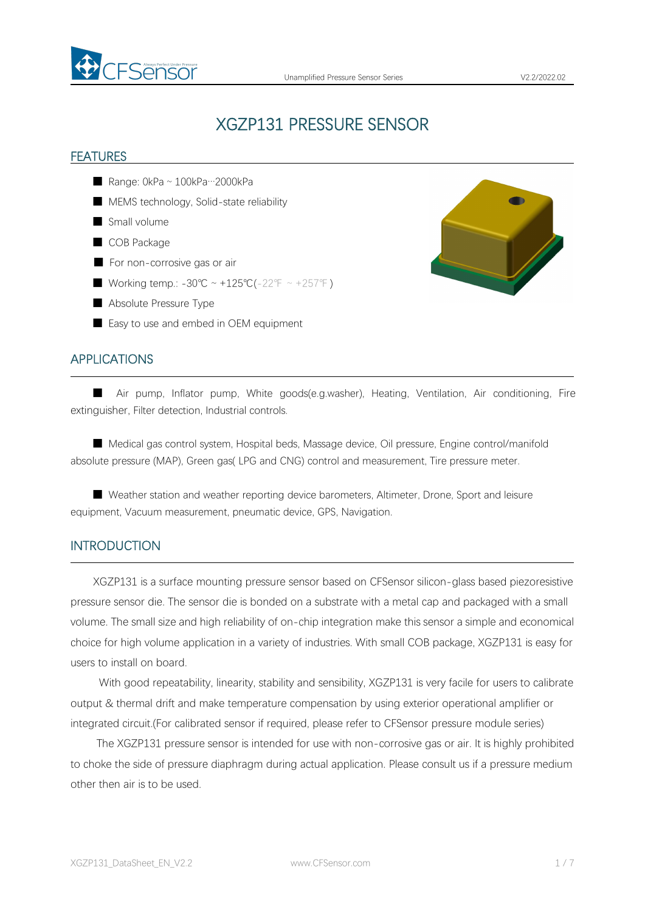

# XGZP131 PRESSURE SENSOR

#### FEATURES

- Range: 0kPa ~ 100kPa…2000kPa
- MEMS technology, Solid-state reliability
- Small volume
- COB Package
- For non-corrosive gas or air
- Working temp.: -30℃ ~ +125℃(-22°F ~ +257°F)
- Absolute Pressure Type
- Easy to use and embed in OEM equipment

### APPLICATIONS

■ Air pump, Inflator pump, White goods(e.g.washer), Heating, Ventilation, Air conditioning, Fire extinguisher, Filter detection, Industrial controls.

■ Medical gas control system, Hospital beds, Massage device, Oil pressure, Engine control/manifold absolute pressure (MAP), Green gas( LPG and CNG) control and measurement, Tire pressure meter.

■ Weather station and weather reporting device barometers, Altimeter, Drone, Sport and leisure equipment, Vacuum measurement, pneumatic device, GPS, Navigation.

#### INTRODUCTION

XGZP131 is a surface mounting pressure sensor based on CFSensor silicon-glass based piezoresistive pressure sensor die. The sensor die is bonded on asubstrate with a metal cap and packaged with asmall volume. The small size and high reliability of on-chip integration make this sensor a simple and economical choice for high volume application in avariety of industries. With small COB package, XGZP131 is easy for users to install on board.

With good repeatability, linearity, stability and sensibility, XGZP131 is very facile for users to calibrate output & thermal drift and make temperature compensation by using exterior operational amplifier or integrated circuit.(For calibrated sensor if required, please refer to CFSensor pressure module series)

The XGZP131 pressure sensor is intended for use with non-corrosive gas orair. It is highly prohibited to choke the side of pressure diaphragm during actual application. Please consult us if a pressure medium other then air is to be used.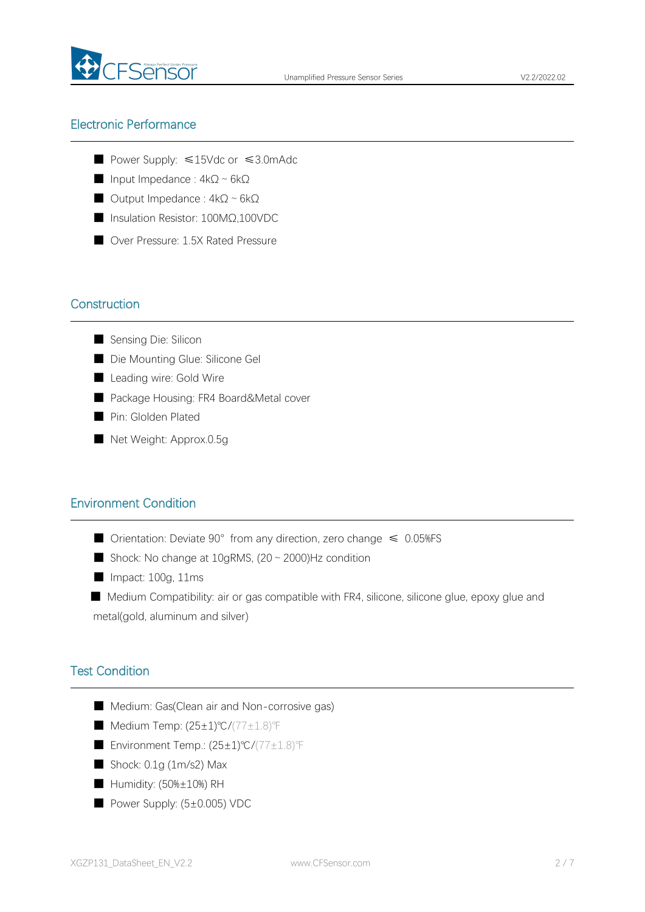

### Electronic Performance

- Power Supply: ≤15Vdc or ≤3.0mAdc
- Input Impedance : 4kΩ~6kΩ
- Output Impedance : 4kΩ~6kΩ
- Insulation Resistor: 100MΩ,100VDC
- Over Pressure: 1.5X Rated Pressure

### **Construction**

- Sensing Die: Silicon
- Die Mounting Glue: Silicone Gel
- Leading wire: Gold Wire
- Package Housing: FR4 Board&Metal cover
- Pin: Glolden Plated
- Net Weight: Approx.0.5g

### Environment Condition

- Orientation: Deviate 90° from any direction, zero change ≤ 0.05%FS
- Shock: No change at  $10$ gRMS,  $(20 \sim 2000)$ Hz condition
- Impact: 100g, 11ms
- Medium Compatibility: air or gas compatible with FR4, silicone, silicone glue, epoxy glue and metal(gold, aluminum and silver)

### Test Condition

- Medium: Gas(Clean air and Non-corrosive gas)
- Medium Temp: (25±1)℃/(77±1.8)°F
- Environment Temp.: (25±1)℃/(77±1.8)℉
- Shock: 0.1g (1m/s2) Max
- Humidity: (50%±10%) RH
- Power Supply: (5±0.005) VDC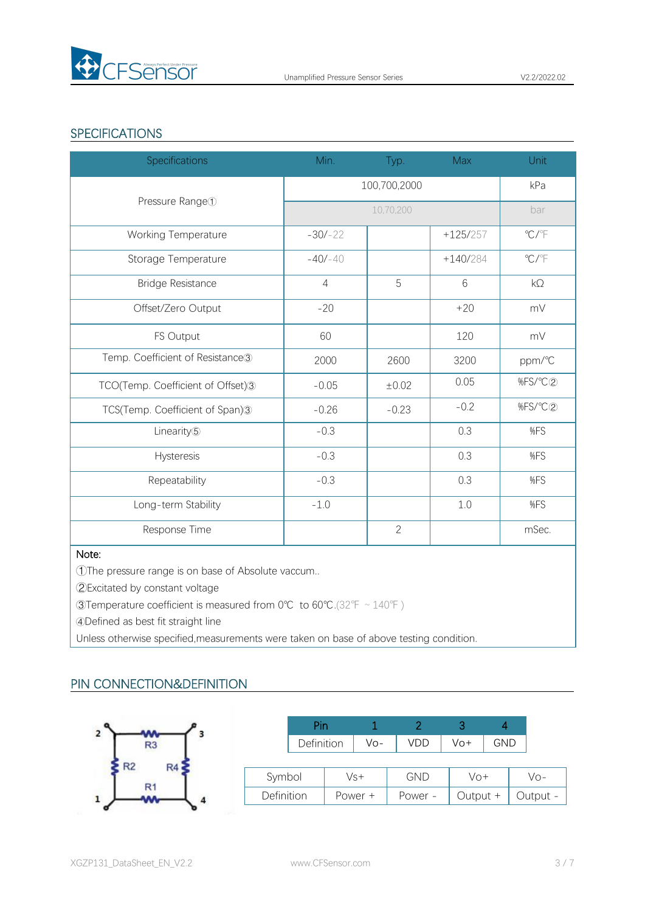

## **SPECIFICATIONS**

| <b>Specifications</b>                        | Min.           | Typ.           | Max        | Unit                      |
|----------------------------------------------|----------------|----------------|------------|---------------------------|
|                                              | 100,700,2000   |                |            | kPa                       |
| Pressure Range <sup>1</sup>                  |                | bar            |            |                           |
| Working Temperature                          | $-30/-22$      |                | $+125/257$ | $\mathrm{C} / \mathrm{C}$ |
| Storage Temperature                          | $-40/-40$      |                | $+140/284$ | $\mathrm{C}/\mathrm{C}$   |
| <b>Bridge Resistance</b>                     | $\overline{4}$ | 5              | 6          | $k\Omega$                 |
| Offset/Zero Output                           | $-20$          |                | $+20$      | mV                        |
| FS Output                                    | 60             |                | 120        | mV                        |
| Temp. Coefficient of Resistance <sup>3</sup> | 2000           | 2600           | 3200       | ppm/°C                    |
| TCO(Temp. Coefficient of Offset)3            | $-0.05$        | ±0.02          | 0.05       | %FS/°C2                   |
| TCS(Temp. Coefficient of Span)3              | $-0.26$        | $-0.23$        | $-0.2$     | %FS/°C2                   |
| Linearity <sup>(5)</sup>                     | $-0.3$         |                | 0.3        | %FS                       |
| Hysteresis                                   | $-0.3$         |                | 0.3        | %FS                       |
| Repeatability                                | $-0.3$         |                | 0.3        | %FS                       |
| Long-term Stability                          | $-1.0$         |                | $1.0\,$    | %FS                       |
| Response Time                                |                | $\overline{2}$ |            | mSec.                     |

#### Note:

①The pressure range is on base of Absolute vaccum..

②Excitated by constant voltage

③Temperature coefficient is measured from 0℃ to 60℃.(32℉~140℉)

④Defined as best fit straight line

Unless otherwise specified,measurements were taken on base of above testing condition.

# PIN CONNECTION&DEFINITION



|            | Pin        |         |            |  |            |     |          |
|------------|------------|---------|------------|--|------------|-----|----------|
|            | Definition | Vo-     | VDD        |  | Vo+        | GND |          |
|            |            |         |            |  |            |     |          |
| Symbol     |            | Vs+     | <b>GND</b> |  | Vo+        |     | Vo-      |
| Definition |            | Power + | Power -    |  | Output $+$ |     | Output - |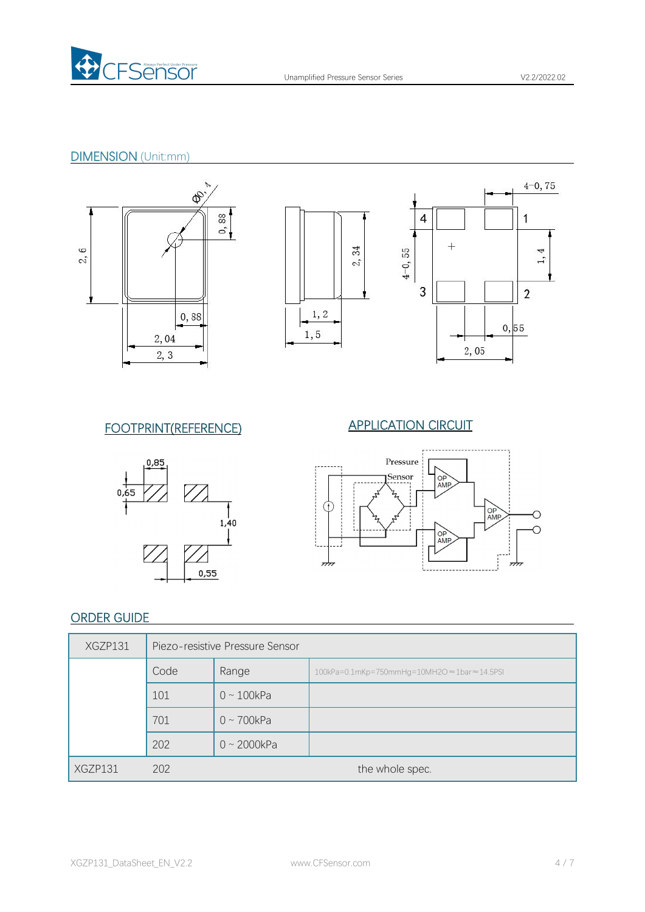

# DIMENSION (Unit:mm)













# ORDER GUIDE

| XGZP131 | Piezo-resistive Pressure Sensor |                   |                                             |  |  |  |
|---------|---------------------------------|-------------------|---------------------------------------------|--|--|--|
|         | Code                            | Range             | 100kPa=0.1mKp=750mmHg=10MH2O ≈1bar ≈14.5PSI |  |  |  |
|         | 101                             | $0 \sim 100$ kPa  |                                             |  |  |  |
|         | 701                             | $0 \sim 700$ kPa  |                                             |  |  |  |
|         | 202                             | $0 \sim 2000$ kPa |                                             |  |  |  |
| XGZP131 | 202                             | the whole spec.   |                                             |  |  |  |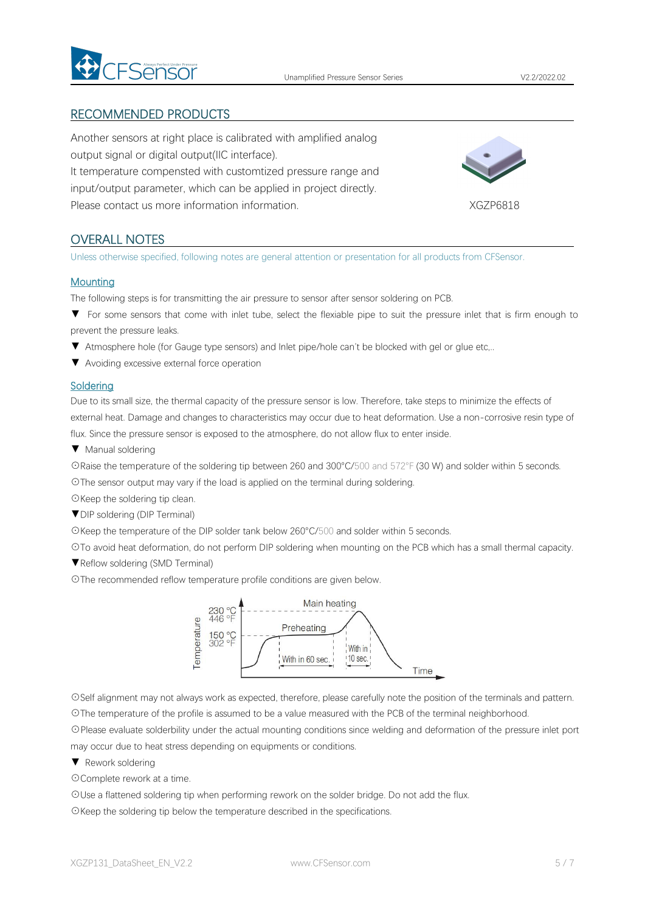

### RECOMMENDED PRODUCTS

Another sensors at right place is calibrated with amplified analog output signal or digital output(IIC interface). It temperature compensted with customtized pressure range and input/output parameter, which can be applied in project directly. Please contact us more information information.<br>
XGZP6818



### OVERALL NOTES

Unless otherwise specified, following notes are general attention or presentation for all products from CFSensor.

#### **Mounting**

The following steps isfor transmitting the air pressure to sensor after sensor soldering on PCB.

- ▼ For some sensors that come with inlet tube, select the flexiable pipe to suit the pressure inlet that is firm enough to prevent the pressure leaks.
- ▼ Atmosphere hole (for Gauge type sensors) and Inlet pipe/hole can't be blocked with gel or glue etc,..
- ▼ Avoiding excessive external force operation

#### **Soldering**

Due to its small size, the thermal capacity of the pressure sensor is low. Therefore, take steps to minimize the effects of external heat. Damage and changes to characteristics may occur due to heat deformation. Use a non-corrosive resin type of flux. Since the pressure sensor is exposed to the atmosphere, do not allow flux to enter inside.

▼ Manual soldering

☉Raise the temperature of the soldering tip between 260 and 300°C/500 and 572°F (30 W) and solder within 5 seconds.

☉The sensor output may vary if the load is applied on the terminal during soldering.

☉Keep the soldering tip clean.

▼DIP soldering (DIP Terminal)

☉Keep the temperature of the DIP solder tank below 260°C/500 and solder within 5 seconds.

☉To avoid heat deformation, do not perform DIP soldering when mounting on the PCB which has a small thermal capacity.

▼Reflow soldering (SMD Terminal)

☉The recommended reflow temperature profile conditions are given below.



☉Self alignment may not always work as expected, therefore, please carefully note the position of the terminals and pattern. ☉The temperature of the profile is assumed to be a value measured with the PCB of the terminal neighborhood.

☉Please evaluate solderbility under the actual mounting conditions since welding and deformation of the pressure inlet port may occur due to heat stress depending on equipments or conditions.

▼ Rework soldering

☉Complete rework at a time.

☉Use a flattened soldering tip when performing rework on the solder bridge. Do not add the flux.

☉Keep the soldering tip below the temperature described in the specifications.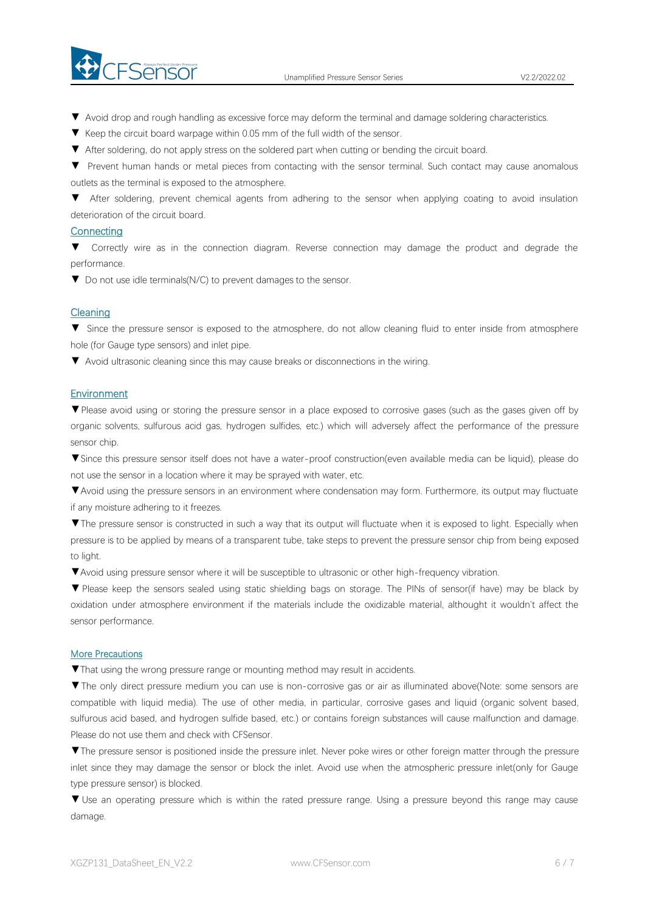

- ▼ Avoid drop and rough handling as excessive force may deform the terminal and damage soldering characteristics.
- 
- ▼ Keep the circuit board warpage within 0.05 mm of the full width of the sensor.<br>▼ After soldering, do not apply stress on the soldered part when cutting or bending the circuit board.
- ▼ Prevent human hands or metal pieces from contacting with the sensor terminal. Such contact may cause anomalous outlets as the terminal is exposed to the atmosphere.

▼ After soldering, prevent chemical agents from adhering to the sensor when applying coating to avoid insulation deterioration of the circuit board.

#### **Connecting**

▼ Correctly wire as in the connection diagram. Reverse connection may damage the product and degrade the performance.

▼ Do not use idle terminals(N/C) to prevent damages to the sensor.

#### Cleaning

▼ Since the pressure sensor is exposed to the atmosphere, do not allow cleaning fluid to enter inside from atmosphere hole (for Gauge type sensors) and inlet pipe.

▼ Avoid ultrasonic cleaning since this may cause breaks or disconnections in the wiring.

#### **Environment**

▼Please avoid using or storing the pressure sensor in a place exposed to corrosive gases (such as the gases given off by organic solvents, sulfurous acid gas, hydrogen sulfides, etc.) which will adversely affect the performance of the pressure sensor chip.

▼Since this pressure sensor itself does not have a water-proof construction(even available media can be liquid), please do not use the sensor in alocation where it may be sprayed with water, etc.

▼Avoid using the pressure sensors in an environment where condensation may form. Furthermore, its output may fluctuate if any moisture adhering to it freezes.

▼The pressure sensor is constructed in such a way that its output will fluctuate when it is exposed to light. Especially when pressure is to be applied by means of a transparent tube, take steps to prevent the pressure sensor chip from being exposed to light.

▼Avoid using pressure sensor where it will be susceptible to ultrasonic or other high-frequency vibration.

▼ Please keep the sensors sealed using static shielding bags on storage. The PINs of sensor(if have) may be black by oxidation under atmosphere environment if the materials include the oxidizable material, althought it wouldn't affect the sensor performance.

#### More Precautions

▼That using the wrong pressure range or mounting method mayresult in accidents.

▼The only direct pressure medium you can use is non-corrosive gas or air as illuminated above(Note: some sensors are compatible with liquid media). The use of other media, in particular, corrosive gases and liquid (organic solvent based, sulfurous acid based, and hydrogen sulfide based, etc.) or contains foreign substances will cause malfunction and damage.<br>Please do not use them and check with CFSensor.

▼The pressure sensor is positioned inside the pressure inlet. Never poke wires orother foreign matter through the pressure inlet since they may damage the sensor or block the inlet. Avoid use when the atmospheric pressure inlet(only for Gauge type pressure sensor) is blocked.

▼ Use an operating pressure which is within the rated pressure range. Using a pressure beyond this range may cause damage.